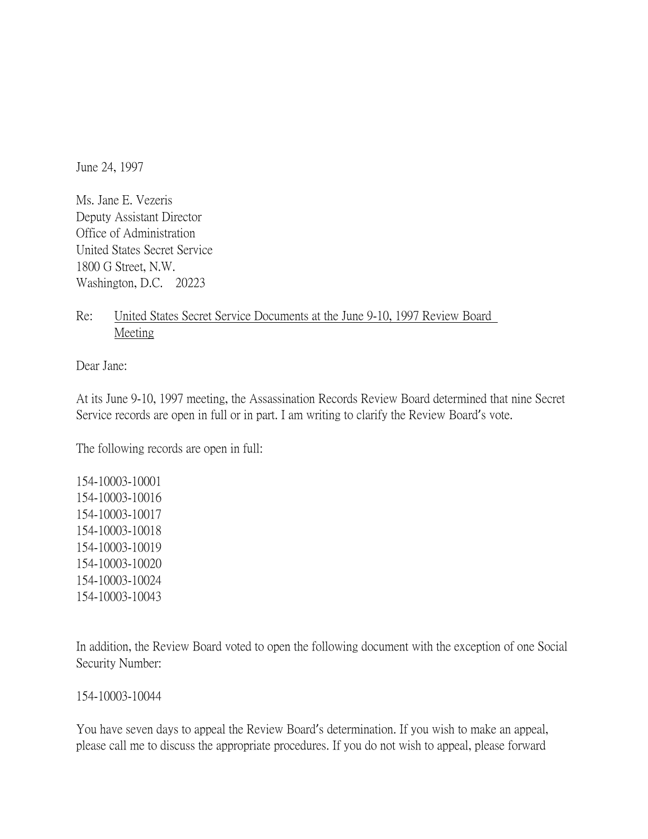June 24, 1997

Ms. Jane E. Vezeris Deputy Assistant Director Office of Administration United States Secret Service 1800 G Street, N.W. Washington, D.C. 20223

Re: United States Secret Service Documents at the June 9-10, 1997 Review Board Meeting

Dear Jane:

At its June 9-10, 1997 meeting, the Assassination Records Review Board determined that nine Secret Service records are open in full or in part. I am writing to clarify the Review Board's vote.

The following records are open in full:

154-10003-10001 154-10003-10016 154-10003-10017 154-10003-10018 154-10003-10019 154-10003-10020 154-10003-10024 154-10003-10043

In addition, the Review Board voted to open the following document with the exception of one Social Security Number:

154-10003-10044

You have seven days to appeal the Review Board's determination. If you wish to make an appeal, please call me to discuss the appropriate procedures. If you do not wish to appeal, please forward